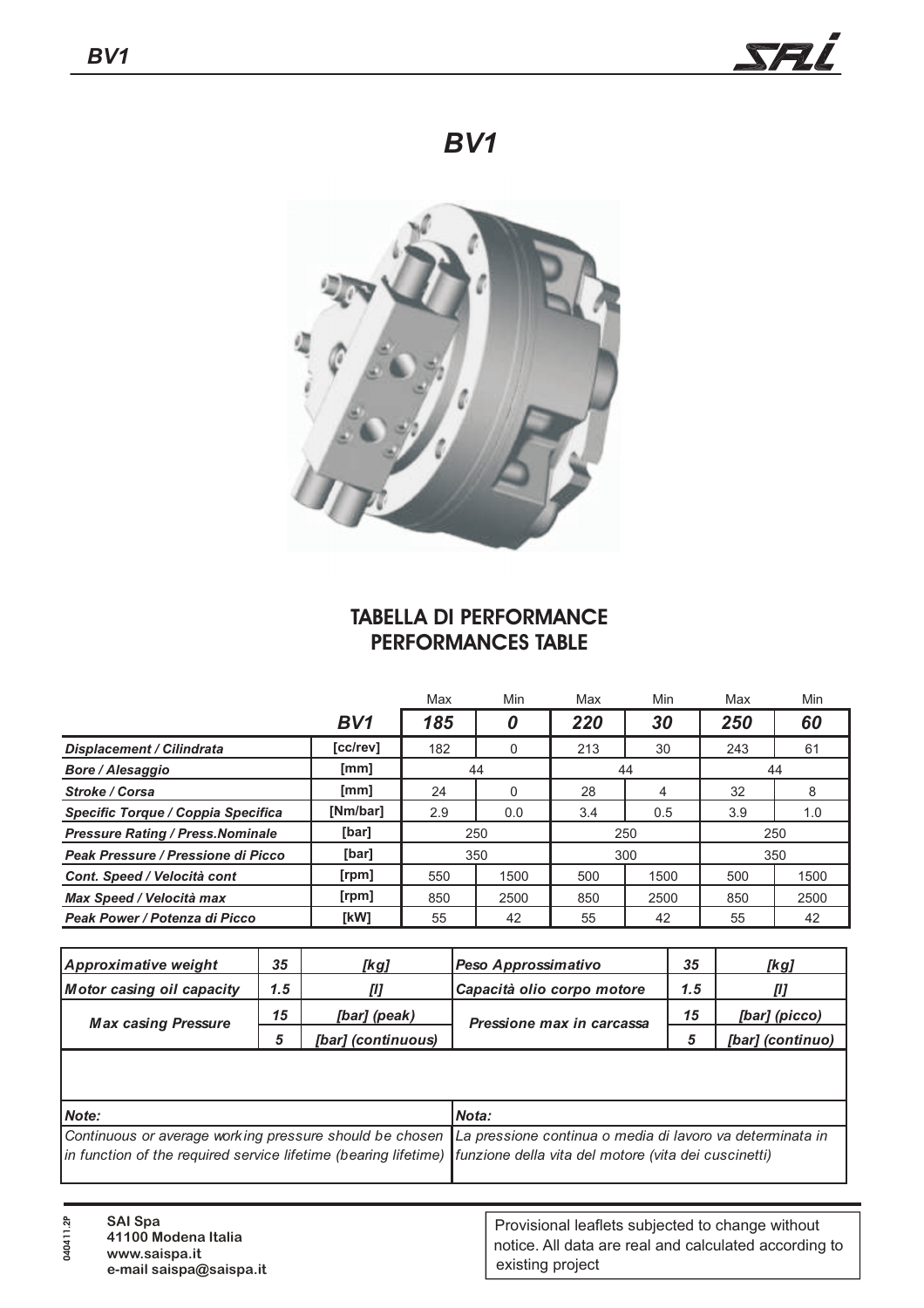

## *BV1*



## **TABELLA DI PERFORMANCE PERFORMANCES TABLE**

|                                          |          | Max | Min  | Max | Min  | Max | Min  |
|------------------------------------------|----------|-----|------|-----|------|-----|------|
|                                          | BV1      | 185 | 0    | 220 | 30   | 250 | 60   |
| <b>Displacement / Cilindrata</b>         | [cc/rev] | 182 |      | 213 | 30   | 243 | 61   |
| <b>Bore / Alesaggio</b>                  | [mm]     | 44  |      | 44  |      | 44  |      |
| Stroke / Corsa                           | [mm]     | 24  |      | 28  | 4    | 32  | 8    |
| Specific Torque / Coppia Specifica       | [Nm/bar] | 2.9 | 0.0  | 3.4 | 0.5  | 3.9 | 1.0  |
| <b>Pressure Rating / Press. Nominale</b> | [bar]    | 250 |      | 250 |      | 250 |      |
| Peak Pressure / Pressione di Picco       | [bar]    | 350 |      | 300 |      | 350 |      |
| Cont. Speed / Velocità cont              | [rpm]    | 550 | 1500 | 500 | 1500 | 500 | 1500 |
| Max Speed / Velocità max                 | [rpm]    | 850 | 2500 | 850 | 2500 | 850 | 2500 |
| Peak Power / Potenza di Picco            | [kW]     | 55  | 42   | 55  | 42   | 55  | 42   |

| Approximative weight       | 35  | [kg]               | Peso Approssimativo        | 35  | [kg]             |
|----------------------------|-----|--------------------|----------------------------|-----|------------------|
| Motor casing oil capacity  | 1.5 |                    | Capacità olio corpo motore | 1.5 |                  |
| <b>Max casing Pressure</b> | 15  | [bar] (peak)       | Pressione max in carcassa  | 15  | [bar] (picco)    |
|                            |     | [bar] (continuous) |                            |     | [bar] (continuo) |

| Nota:                                                                                                                |
|----------------------------------------------------------------------------------------------------------------------|
| Continuous or average working pressure should be chosen La pressione continua o media di lavoro va determinata in    |
| in function of the required service lifetime (bearing lifetime) funzione della vita del motore (vita dei cuscinetti) |
|                                                                                                                      |

| <b>SAI Spa</b> | 41100 Modena Italia     | Provisional leaflets subjected to change without      |
|----------------|-------------------------|-------------------------------------------------------|
| $\overline{4}$ | www.saispa.it           | notice. All data are real and calculated according to |
| $\circ$        | e-mail saispa@saispa.it | existing project                                      |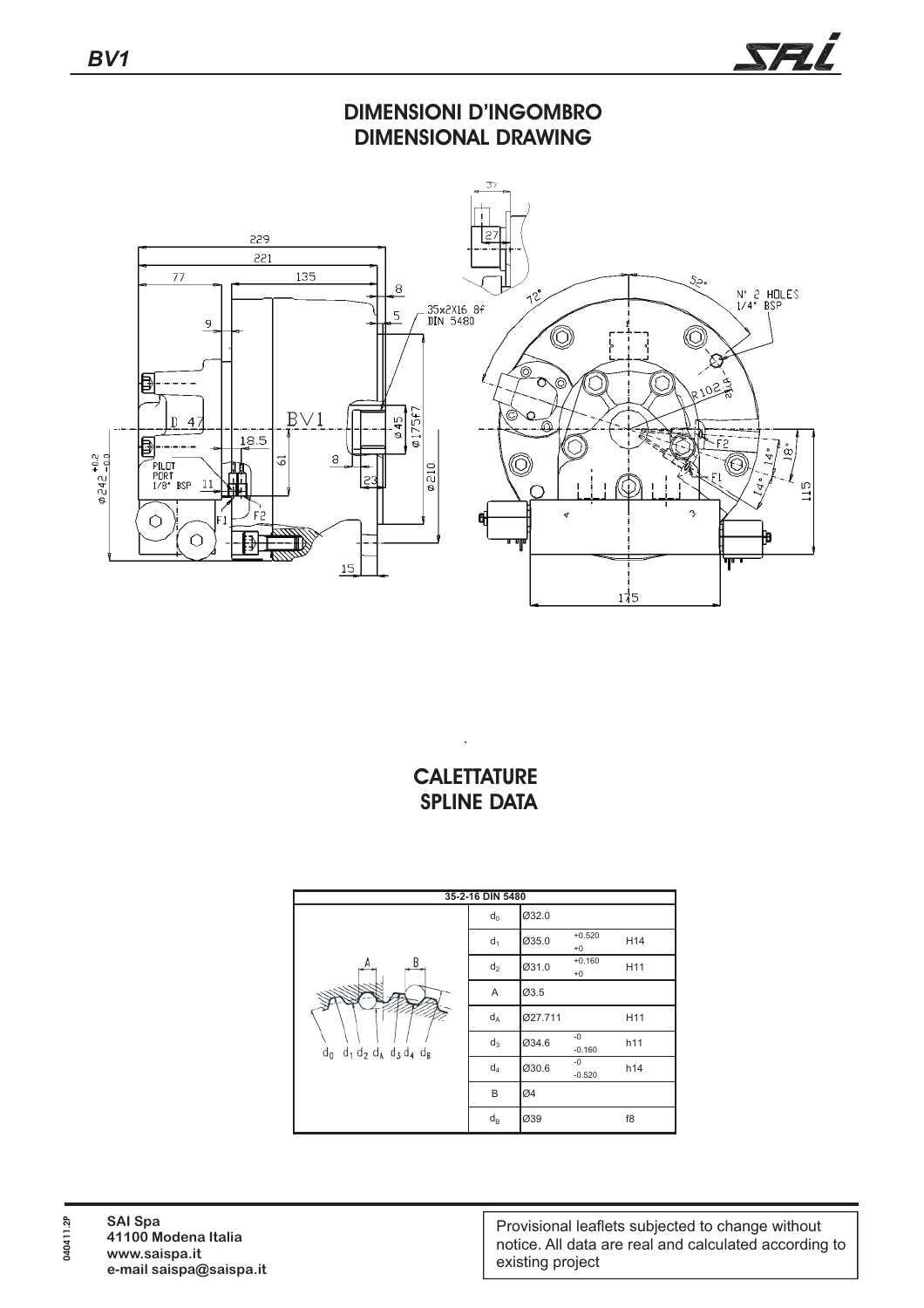

**DIMENSIONI D'INGOMBRO DIMENSIONAL DRAWING**



## **CALETTATURE SPLINE DATA**

.